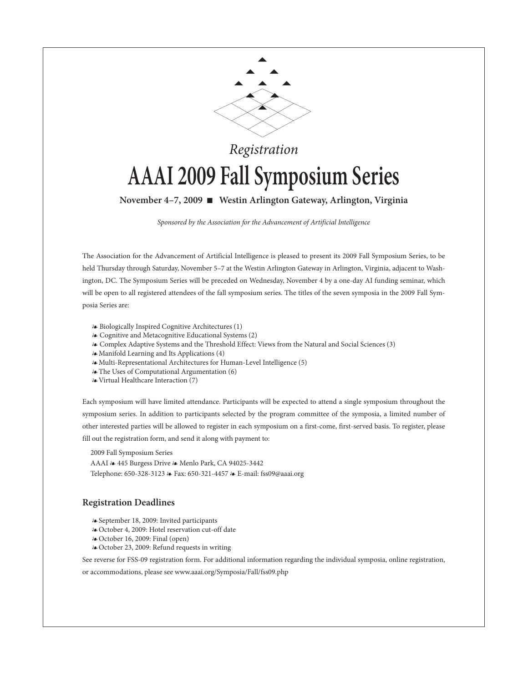

*Sponsored by the Association for the Advancement of Artificial Intelligence*

The Association for the Advancement of Artificial Intelligence is pleased to present its 2009 Fall Symposium Series, to be held Thursday through Saturday, November 5–7 at the Westin Arlington Gateway in Arlington, Virginia, adjacent to Washington, DC. The Symposium Series will be preceded on Wednesday, November 4 by a one-day AI funding seminar, which will be open to all registered attendees of the fall symposium series. The titles of the seven symposia in the 2009 Fall Symposia Series are:

- Biologically Inspired Cognitive Architectures (1)
- Cognitive and Metacognitive Educational Systems (2)
- Complex Adaptive Systems and the Threshold Effect: Views from the Natural and Social Sciences (3)
- -Manifold Learning and Its Applications (4)
- -Multi-Representational Architectures for Human-Level Intelligence (5)
- -The Uses of Computational Argumentation (6)
- -Virtual Healthcare Interaction (7)

Each symposium will have limited attendance. Participants will be expected to attend a single symposium throughout the symposium series. In addition to participants selected by the program committee of the symposia, a limited number of other interested parties will be allowed to register in each symposium on a first-come, first-served basis. To register, please fill out the registration form, and send it along with payment to:

2009 Fall Symposium Series

AAAI & 445 Burgess Drive & Menlo Park, CA 94025-3442 Telephone: 650-328-3123 & Fax: 650-321-4457 & E-mail: fss09@aaai.org

### **Registration Deadlines**

- -September 18, 2009: Invited participants
- -October 4, 2009: Hotel reservation cut-off date
- -October 16, 2009: Final (open)
- -October 23, 2009: Refund requests in writing

See reverse for FSS-09 registration form. For additional information regarding the individual symposia, online registration,

or accommodations, please see www.aaai.org/Symposia/Fall/fss09.php